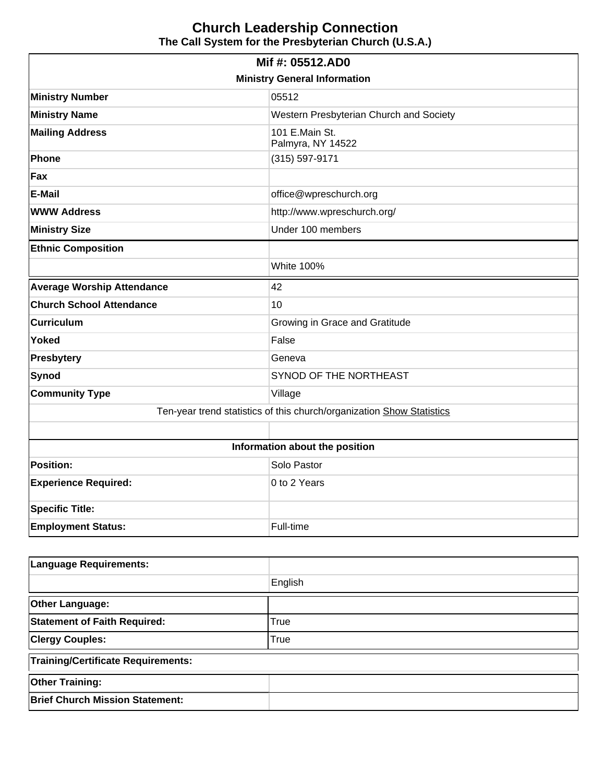# **Church Leadership Connection The Call System for the Presbyterian Church (U.S.A.)**

| Mif #: 05512.AD0                                                      |                                         |  |  |  |
|-----------------------------------------------------------------------|-----------------------------------------|--|--|--|
| <b>Ministry General Information</b>                                   |                                         |  |  |  |
| <b>Ministry Number</b>                                                | 05512                                   |  |  |  |
| <b>Ministry Name</b>                                                  | Western Presbyterian Church and Society |  |  |  |
| <b>Mailing Address</b>                                                | 101 E.Main St.<br>Palmyra, NY 14522     |  |  |  |
| Phone                                                                 | (315) 597-9171                          |  |  |  |
| Fax                                                                   |                                         |  |  |  |
| <b>E-Mail</b>                                                         | office@wpreschurch.org                  |  |  |  |
| <b>WWW Address</b>                                                    | http://www.wpreschurch.org/             |  |  |  |
| <b>Ministry Size</b>                                                  | Under 100 members                       |  |  |  |
| <b>Ethnic Composition</b>                                             |                                         |  |  |  |
|                                                                       | <b>White 100%</b>                       |  |  |  |
| <b>Average Worship Attendance</b>                                     | 42                                      |  |  |  |
| <b>Church School Attendance</b>                                       | 10                                      |  |  |  |
| <b>Curriculum</b>                                                     | Growing in Grace and Gratitude          |  |  |  |
| <b>Yoked</b>                                                          | False                                   |  |  |  |
| Presbytery                                                            | Geneva                                  |  |  |  |
| Synod                                                                 | SYNOD OF THE NORTHEAST                  |  |  |  |
| <b>Community Type</b>                                                 | Village                                 |  |  |  |
| Ten-year trend statistics of this church/organization Show Statistics |                                         |  |  |  |
|                                                                       |                                         |  |  |  |
| Information about the position                                        |                                         |  |  |  |
| <b>Position:</b>                                                      | Solo Pastor                             |  |  |  |
| <b>Experience Required:</b>                                           | 0 to 2 Years                            |  |  |  |
| <b>Specific Title:</b>                                                |                                         |  |  |  |
| <b>Employment Status:</b>                                             | Full-time                               |  |  |  |

| <b>Language Requirements:</b>             |         |  |  |  |
|-------------------------------------------|---------|--|--|--|
|                                           | English |  |  |  |
| <b>Other Language:</b>                    |         |  |  |  |
| <b>Statement of Faith Required:</b>       | True    |  |  |  |
| <b>Clergy Couples:</b>                    | True    |  |  |  |
| <b>Training/Certificate Requirements:</b> |         |  |  |  |
| <b>Other Training:</b>                    |         |  |  |  |
| <b>Brief Church Mission Statement:</b>    |         |  |  |  |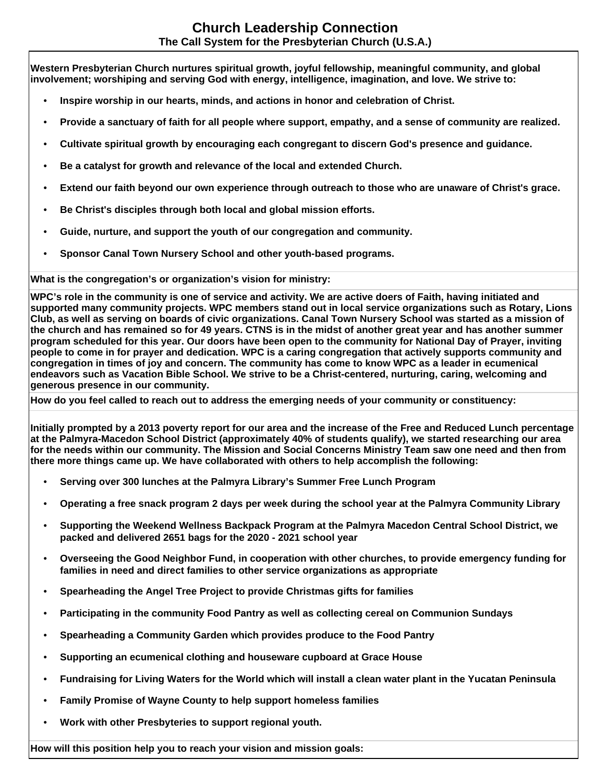**Western Presbyterian Church nurtures spiritual growth, joyful fellowship, meaningful community, and global involvement; worshiping and serving God with energy, intelligence, imagination, and love. We strive to:**

- **Inspire worship in our hearts, minds, and actions in honor and celebration of Christ.**
- **Provide a sanctuary of faith for all people where support, empathy, and a sense of community are realized.**
- **Cultivate spiritual growth by encouraging each congregant to discern God's presence and guidance.**
- **Be a catalyst for growth and relevance of the local and extended Church.**
- **Extend our faith beyond our own experience through outreach to those who are unaware of Christ's grace.**
- **Be Christ's disciples through both local and global mission efforts.**
- **Guide, nurture, and support the youth of our congregation and community.**
- **Sponsor Canal Town Nursery School and other youth-based programs.**

**What is the congregation's or organization's vision for ministry:** 

**WPC's role in the community is one of service and activity. We are active doers of Faith, having initiated and supported many community projects. WPC members stand out in local service organizations such as Rotary, Lions Club, as well as serving on boards of civic organizations. Canal Town Nursery School was started as a mission of the church and has remained so for 49 years. CTNS is in the midst of another great year and has another summer program scheduled for this year. Our doors have been open to the community for National Day of Prayer, inviting people to come in for prayer and dedication. WPC is a caring congregation that actively supports community and congregation in times of joy and concern. The community has come to know WPC as a leader in ecumenical endeavors such as Vacation Bible School. We strive to be a Christ-centered, nurturing, caring, welcoming and generous presence in our community.**

**How do you feel called to reach out to address the emerging needs of your community or constituency:** 

**Initially prompted by a 2013 poverty report for our area and the increase of the Free and Reduced Lunch percentage at the Palmyra-Macedon School District (approximately 40% of students qualify), we started researching our area for the needs within our community. The Mission and Social Concerns Ministry Team saw one need and then from there more things came up. We have collaborated with others to help accomplish the following:**

- **Serving over 300 lunches at the Palmyra Library's Summer Free Lunch Program**
- **Operating a free snack program 2 days per week during the school year at the Palmyra Community Library**
- **Supporting the Weekend Wellness Backpack Program at the Palmyra Macedon Central School District, we packed and delivered 2651 bags for the 2020 - 2021 school year**
- **Overseeing the Good Neighbor Fund, in cooperation with other churches, to provide emergency funding for families in need and direct families to other service organizations as appropriate**
- **Spearheading the Angel Tree Project to provide Christmas gifts for families**
- **Participating in the community Food Pantry as well as collecting cereal on Communion Sundays**
- **Spearheading a Community Garden which provides produce to the Food Pantry**
- **Supporting an ecumenical clothing and houseware cupboard at Grace House**
- **Fundraising for Living Waters for the World which will install a clean water plant in the Yucatan Peninsula**
- **Family Promise of Wayne County to help support homeless families**
- **Work with other Presbyteries to support regional youth.**

**How will this position help you to reach your vision and mission goals:**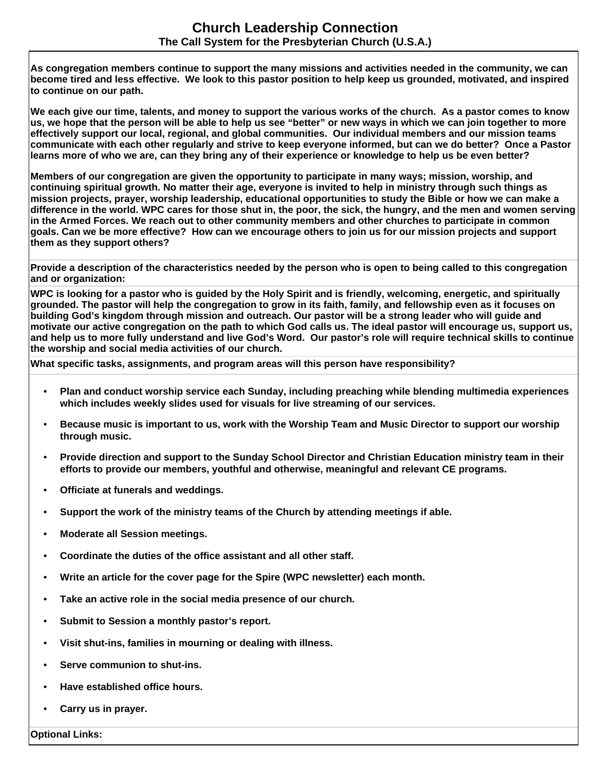**As congregation members continue to support the many missions and activities needed in the community, we can become tired and less effective. We look to this pastor position to help keep us grounded, motivated, and inspired to continue on our path.**

**We each give our time, talents, and money to support the various works of the church. As a pastor comes to know us, we hope that the person will be able to help us see "better" or new ways in which we can join together to more effectively support our local, regional, and global communities. Our individual members and our mission teams communicate with each other regularly and strive to keep everyone informed, but can we do better? Once a Pastor learns more of who we are, can they bring any of their experience or knowledge to help us be even better?**

**Members of our congregation are given the opportunity to participate in many ways; mission, worship, and continuing spiritual growth. No matter their age, everyone is invited to help in ministry through such things as mission projects, prayer, worship leadership, educational opportunities to study the Bible or how we can make a difference in the world. WPC cares for those shut in, the poor, the sick, the hungry, and the men and women serving in the Armed Forces. We reach out to other community members and other churches to participate in common goals. Can we be more effective? How can we encourage others to join us for our mission projects and support them as they support others?**

**Provide a description of the characteristics needed by the person who is open to being called to this congregation and or organization:**

**WPC is looking for a pastor who is guided by the Holy Spirit and is friendly, welcoming, energetic, and spiritually grounded. The pastor will help the congregation to grow in its faith, family, and fellowship even as it focuses on building God's kingdom through mission and outreach. Our pastor will be a strong leader who will guide and motivate our active congregation on the path to which God calls us. The ideal pastor will encourage us, support us, and help us to more fully understand and live God's Word. Our pastor's role will require technical skills to continue the worship and social media activities of our church.**

**What specific tasks, assignments, and program areas will this person have responsibility?**

- **Plan and conduct worship service each Sunday, including preaching while blending multimedia experiences which includes weekly slides used for visuals for live streaming of our services.**
- **Because music is important to us, work with the Worship Team and Music Director to support our worship through music.**
- **Provide direction and support to the Sunday School Director and Christian Education ministry team in their efforts to provide our members, youthful and otherwise, meaningful and relevant CE programs.**
- **Officiate at funerals and weddings.**
- **Support the work of the ministry teams of the Church by attending meetings if able.**
- **Moderate all Session meetings.**
- **Coordinate the duties of the office assistant and all other staff.**
- **Write an article for the cover page for the Spire (WPC newsletter) each month.**
- **Take an active role in the social media presence of our church.**
- **Submit to Session a monthly pastor's report.**
- **Visit shut-ins, families in mourning or dealing with illness.**
- **Serve communion to shut-ins.**
- **Have established office hours.**
- **Carry us in prayer.**

**Optional Links:**